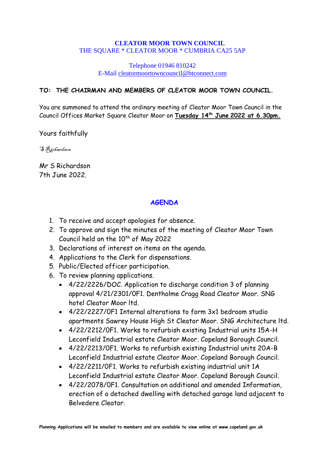### **CLEATOR MOOR TOWN COUNCIL** THE SQUARE \* CLEATOR MOOR \* CUMBRIA CA25 5AP

### Telephone 01946 810242 E-Mail [cleatormoortowncouncil@btconnect.com](mailto:cleatormoortowncouncil@btconnect.com)

### **TO: THE CHAIRMAN AND MEMBERS OF CLEATOR MOOR TOWN COUNCIL.**

You are summoned to attend the ordinary meeting of Cleator Moor Town Council in the Council Offices Market Square Cleator Moor on **Tuesday 14 th June 2022 at 6.30pm.**

Yours faithfully

S Richardson

Mr S Richardson 7th June 2022.

### **AGENDA**

- 1. To receive and accept apologies for absence.
- 2. To approve and sign the minutes of the meeting of Cleator Moor Town Council held on the 10<sup>th</sup> of May 2022
- 3. Declarations of interest on items on the agenda.
- 4. Applications to the Clerk for dispensations.
- 5. Public/Elected officer participation.
- 6. To review planning applications.
	- 4/22/2226/DOC. Application to discharge condition 3 of planning approval 4/21/2301/0F1. Dentholme Cragg Road Cleator Moor. SNG hotel Cleator Moor ltd.
	- 4/22/2227/0F1 Internal alterations to form 3x1 bedroom studio apartments Sawrey House High St Cleator Moor. SNG Architecture ltd.
	- 4/22/2212/0F1. Works to refurbish existing Industrial units 15A-H Leconfield Industrial estate Cleator Moor. Copeland Borough Council.
	- 4/22/2213/0F1. Works to refurbish existing Industrial units 20A-B Leconfield Industrial estate Cleator Moor. Copeland Borough Council.
	- 4/22/2211/0F1. Works to refurbish existing industrial unit 1A Leconfield Industrial estate Cleator Moor. Copeland Borough Council.
	- 4/22/2078/0F1. Consultation on additional and amended Information, erection of a detached dwelling with detached garage land adjacent to Belvedere Cleator.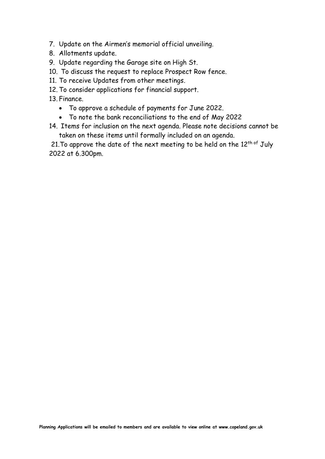- 7. Update on the Airmen's memorial official unveiling.
- 8. Allotments update.
- 9. Update regarding the Garage site on High St.
- 10. To discuss the request to replace Prospect Row fence.
- 11. To receive Updates from other meetings.
- 12. To consider applications for financial support.
- 13. Finance.
	- To approve a schedule of payments for June 2022.
	- To note the bank reconciliations to the end of May 2022
- 14. Items for inclusion on the next agenda. Please note decisions cannot be taken on these items until formally included on an agenda.

21. To approve the date of the next meeting to be held on the  $12^{\text{th of}}$  July 2022 at 6.300pm.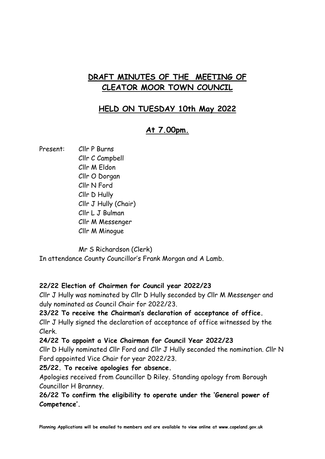# **DRAFT MINUTES OF THE MEETING OF CLEATOR MOOR TOWN COUNCIL**

# **HELD ON TUESDAY 10th May 2022**

# **At 7.00pm.**

Present: Cllr P Burns

 Cllr C Campbell Cllr M Eldon Cllr O Dorgan Cllr N Ford Cllr D Hully Cllr J Hully (Chair) Cllr L J Bulman Cllr M Messenger Cllr M Minogue

Mr S Richardson (Clerk)

In attendance County Councillor's Frank Morgan and A Lamb.

### **22/22 Election of Chairmen for Council year 2022/23**

Cllr J Hully was nominated by Cllr D Hully seconded by Cllr M Messenger and duly nominated as Council Chair for 2022/23.

# **23/22 To receive the Chairman's declaration of acceptance of office.**

Cllr J Hully signed the declaration of acceptance of office witnessed by the Clerk.

### **24/22 To appoint a Vice Chairman for Council Year 2022/23**

Cllr D Hully nominated Cllr Ford and Cllr J Hully seconded the nomination. Cllr N Ford appointed Vice Chair for year 2022/23.

## **25/22. To receive apologies for absence.**

Apologies received from Councillor D Riley. Standing apology from Borough Councillor H Branney.

**26/22 To confirm the eligibility to operate under the 'General power of Competence'.**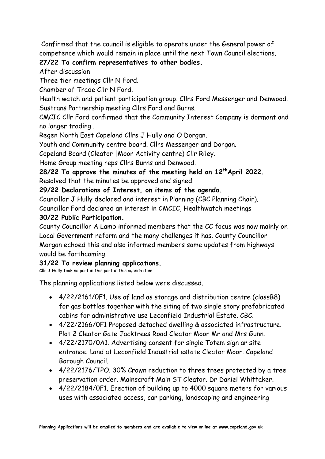Confirmed that the council is eligible to operate under the General power of competence which would remain in place until the next Town Council elections.

## **27/22 To confirm representatives to other bodies.**

After discussion

Three tier meetings Cllr N Ford.

Chamber of Trade Cllr N Ford.

Health watch and patient participation group. Cllrs Ford Messenger and Denwood. Sustrans Partnership meeting Cllrs Ford and Burns.

CMCIC Cllr Ford confirmed that the Community Interest Company is dormant and no longer trading .

Regen North East Copeland Cllrs J Hully and O Dorgan.

Youth and Community centre board. Cllrs Messenger and Dorgan.

Copeland Board (Cleator |Moor Activity centre) Cllr Riley.

Home Group meeting reps Cllrs Burns and Denwood.

**28/22 To approve the minutes of the meeting held on 12 thApril 2022.**  Resolved that the minutes be approved and signed.

**29/22 Declarations of Interest, on items of the agenda.**

Councillor J Hully declared and interest in Planning (CBC Planning Chair).

Councillor Ford declared an interest in CMCIC, Healthwatch meetings

### **30/22 Public Participation.**

County Councillor A Lamb informed members that the CC focus was now mainly on Local Government reform and the many challenges it has. County Councillor Morgan echoed this and also informed members some updates from highways would be forthcoming.

## **31/22 To review planning applications.**

Cllr J Hully took no part in this part in this agenda item.

The planning applications listed below were discussed.

- 4/22/2161/0F1. Use of land as storage and distribution centre (classB8) for gas bottles together with the siting of two single story prefabricated cabins for administrative use Leconfield Industrial Estate. CBC.
- 4/22/2166/0F1 Proposed detached dwelling & associated infrastructure. Plot 2 Cleator Gate Jacktrees Road Cleator Moor Mr and Mrs Gunn.
- 4/22/2170/0A1. Advertising consent for single Totem sign ar site entrance. Land at Leconfield Industrial estate Cleator Moor. Copeland Borough Council.
- 4/22/2176/TPO. 30% Crown reduction to three trees protected by a tree preservation order. Mainscroft Main ST Cleator. Dr Daniel Whittaker.
- 4/22/2184/0F1. Erection of building up to 4000 square meters for various uses with associated access, car parking, landscaping and engineering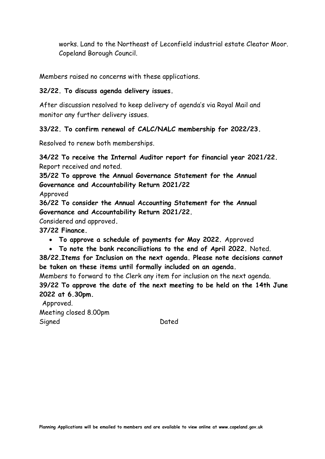works. Land to the Northeast of Leconfield industrial estate Cleator Moor. Copeland Borough Council.

Members raised no concerns with these applications.

### **32/22. To discuss agenda delivery issues.**

After discussion resolved to keep delivery of agenda's via Royal Mail and monitor any further delivery issues.

### **33/22. To confirm renewal of CALC/NALC membership for 2022/23.**

Resolved to renew both memberships.

**34/22 To receive the Internal Auditor report for financial year 2021/22.** Report received and noted.

**35/22 To approve the Annual Governance Statement for the Annual Governance and Accountability Return 2021/22**

Approved

**36/22 To consider the Annual Accounting Statement for the Annual Governance and Accountability Return 2021/22.**

Considered and approved**.**

**37/22 Finance.**

- **To approve a schedule of payments for May 2022.** Approved
- **To note the bank reconciliations to the end of April 2022.** Noted.

**38/22.Items for Inclusion on the next agenda. Please note decisions cannot be taken on these items until formally included on an agenda.**

Members to forward to the Clerk any item for inclusion on the next agenda. **39/22 To approve the date of the next meeting to be held on the 14th June 2022 at 6.30pm.**

Approved. Meeting closed 8.00pm Signed Dated